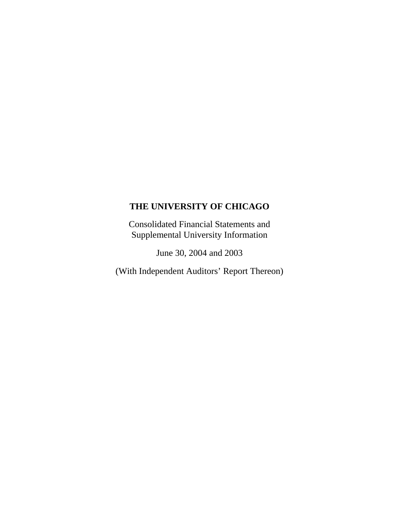Consolidated Financial Statements and Supplemental University Information

June 30, 2004 and 2003

(With Independent Auditors' Report Thereon)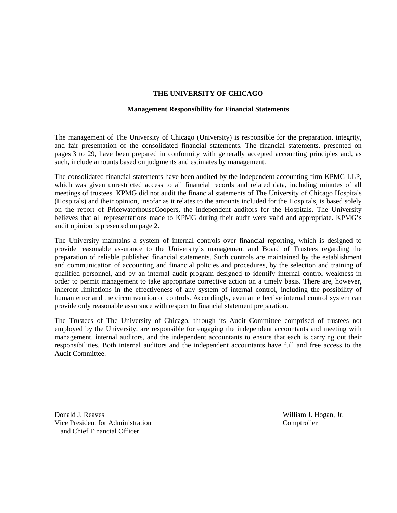#### **Management Responsibility for Financial Statements**

The management of The University of Chicago (University) is responsible for the preparation, integrity, and fair presentation of the consolidated financial statements. The financial statements, presented on pages 3 to 29, have been prepared in conformity with generally accepted accounting principles and, as such, include amounts based on judgments and estimates by management.

The consolidated financial statements have been audited by the independent accounting firm KPMG LLP, which was given unrestricted access to all financial records and related data, including minutes of all meetings of trustees. KPMG did not audit the financial statements of The University of Chicago Hospitals (Hospitals) and their opinion, insofar as it relates to the amounts included for the Hospitals, is based solely on the report of PricewaterhouseCoopers, the independent auditors for the Hospitals. The University believes that all representations made to KPMG during their audit were valid and appropriate. KPMG's audit opinion is presented on page 2.

The University maintains a system of internal controls over financial reporting, which is designed to provide reasonable assurance to the University's management and Board of Trustees regarding the preparation of reliable published financial statements. Such controls are maintained by the establishment and communication of accounting and financial policies and procedures, by the selection and training of qualified personnel, and by an internal audit program designed to identify internal control weakness in order to permit management to take appropriate corrective action on a timely basis. There are, however, inherent limitations in the effectiveness of any system of internal control, including the possibility of human error and the circumvention of controls. Accordingly, even an effective internal control system can provide only reasonable assurance with respect to financial statement preparation.

The Trustees of The University of Chicago, through its Audit Committee comprised of trustees not employed by the University, are responsible for engaging the independent accountants and meeting with management, internal auditors, and the independent accountants to ensure that each is carrying out their responsibilities. Both internal auditors and the independent accountants have full and free access to the Audit Committee.

Donald J. Reaves William J. Hogan, Jr. Vice President for Administration Comptroller and Chief Financial Officer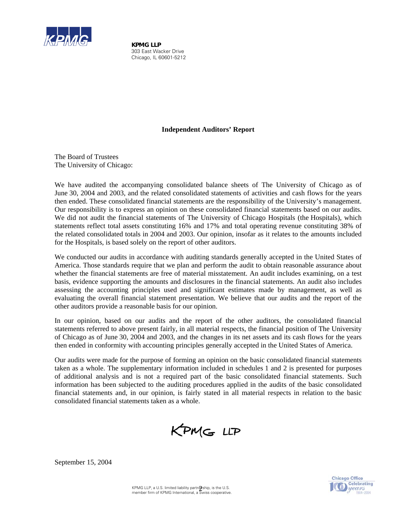

 *KPMG LLP* 303 East Wacker Drive Chicago, IL 60601-5212

## **Independent Auditors' Report**

The Board of Trustees The University of Chicago:

We have audited the accompanying consolidated balance sheets of The University of Chicago as of June 30, 2004 and 2003, and the related consolidated statements of activities and cash flows for the years then ended. These consolidated financial statements are the responsibility of the University's management. Our responsibility is to express an opinion on these consolidated financial statements based on our audits. We did not audit the financial statements of The University of Chicago Hospitals (the Hospitals), which statements reflect total assets constituting 16% and 17% and total operating revenue constituting 38% of the related consolidated totals in 2004 and 2003. Our opinion, insofar as it relates to the amounts included for the Hospitals, is based solely on the report of other auditors.

We conducted our audits in accordance with auditing standards generally accepted in the United States of America. Those standards require that we plan and perform the audit to obtain reasonable assurance about whether the financial statements are free of material misstatement. An audit includes examining, on a test basis, evidence supporting the amounts and disclosures in the financial statements. An audit also includes assessing the accounting principles used and significant estimates made by management, as well as evaluating the overall financial statement presentation. We believe that our audits and the report of the other auditors provide a reasonable basis for our opinion.

In our opinion, based on our audits and the report of the other auditors, the consolidated financial statements referred to above present fairly, in all material respects, the financial position of The University of Chicago as of June 30, 2004 and 2003, and the changes in its net assets and its cash flows for the years then ended in conformity with accounting principles generally accepted in the United States of America.

Our audits were made for the purpose of forming an opinion on the basic consolidated financial statements taken as a whole. The supplementary information included in schedules 1 and 2 is presented for purposes of additional analysis and is not a required part of the basic consolidated financial statements. Such information has been subjected to the auditing procedures applied in the audits of the basic consolidated financial statements and, in our opinion, is fairly stated in all material respects in relation to the basic consolidated financial statements taken as a whole.

KPMG LLP



September 15, 2004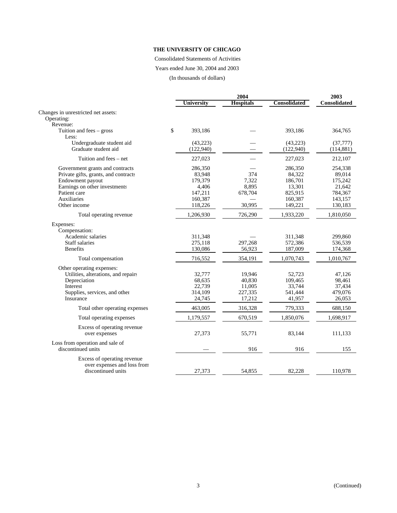Consolidated Statements of Activities

Years ended June 30, 2004 and 2003

(In thousands of dollars)

|                                                   |                   | 2003             |                     |                     |
|---------------------------------------------------|-------------------|------------------|---------------------|---------------------|
|                                                   | <b>University</b> | <b>Hospitals</b> | <b>Consolidated</b> | <b>Consolidated</b> |
| Changes in unrestricted net assets:               |                   |                  |                     |                     |
| Operating:                                        |                   |                  |                     |                     |
| Revenue:                                          |                   |                  |                     |                     |
| Tuition and fees - gross<br>Less:                 | \$<br>393,186     |                  | 393,186             | 364,765             |
| Undergraduate student aid                         | (43, 223)         |                  | (43,223)            | (37, 777)           |
| Graduate student aid                              | (122,940)         |                  | (122,940)           | (114, 881)          |
| Tuition and fees – net                            | 227,023           |                  | 227,023             | 212,107             |
| Government grants and contracts                   | 286,350           |                  | 286,350             | 254,338             |
| Private gifts, grants, and contracts              | 83.948            | 374              | 84,322              | 89,014              |
| Endowment payout                                  | 179,379           | 7,322            | 186,701             | 175,242             |
| Earnings on other investments                     | 4,406             | 8,895            | 13,301              | 21,642              |
| Patient care                                      | 147,211           | 678,704          | 825,915             | 784,367             |
| Auxiliaries                                       | 160,387           |                  | 160,387             | 143,157             |
| Other income                                      | 118,226           | 30,995           | 149,221             | 130,183             |
| Total operating revenue                           | 1,206,930         | 726,290          | 1,933,220           | 1,810,050           |
| Expenses:                                         |                   |                  |                     |                     |
| Compensation:                                     |                   |                  |                     |                     |
| Academic salaries                                 | 311,348           |                  | 311,348             | 299,860             |
| Staff salaries                                    | 275,118           | 297.268          | 572,386             | 536,539             |
| <b>Benefits</b>                                   | 130,086           | 56,923           | 187,009             | 174,368             |
| Total compensation                                | 716,552           | 354,191          | 1,070,743           | 1,010,767           |
| Other operating expenses:                         |                   |                  |                     |                     |
| Utilities, alterations, and repairs               | 32,777            | 19,946           | 52,723              | 47,126              |
| Depreciation                                      | 68,635            | 40,830           | 109,465             | 98,461              |
| Interest                                          | 22,739            | 11,005           | 33,744              | 37,434              |
| Supplies, services, and other                     | 314,109           | 227,335          | 541,444             | 479,076             |
| Insurance                                         | 24,745            | 17,212           | 41,957              | 26,053              |
| Total other operating expenses                    | 463,005           | 316,328          | 779,333             | 688,150             |
| Total operating expenses                          | 1,179,557         | 670,519          | 1,850,076           | 1,698,917           |
| Excess of operating revenue                       |                   |                  |                     |                     |
| over expenses                                     | 27,373            | 55,771           | 83,144              | 111,133             |
| Loss from operation and sale of                   |                   |                  |                     |                     |
| discontinued units                                |                   | 916              | 916                 | 155                 |
| Excess of operating revenue                       |                   |                  |                     |                     |
| over expenses and loss from<br>discontinued units |                   |                  |                     |                     |
|                                                   | 27,373            | 54,855           | 82,228              | 110,978             |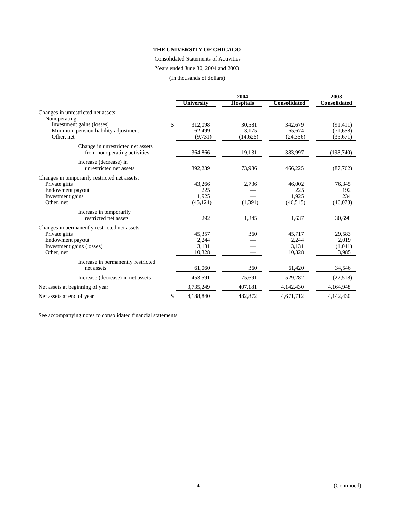#### Consolidated Statements of Activities

Years ended June 30, 2004 and 2003

(In thousands of dollars)

|                                                                   |                 | 2003             |                     |                     |
|-------------------------------------------------------------------|-----------------|------------------|---------------------|---------------------|
|                                                                   | University      | <b>Hospitals</b> | <b>Consolidated</b> | <b>Consolidated</b> |
| Changes in unrestricted net assets:<br>Nonoperating:              |                 |                  |                     |                     |
| Investment gains (losses)                                         | \$<br>312,098   | 30,581           | 342,679             | (91, 411)           |
| Minimum pension liability adjustment                              | 62,499          | 3,175            | 65,674              | (71, 658)           |
| Other, net                                                        | (9,731)         | (14, 625)        | (24, 356)           | (35,671)            |
| Change in unrestricted net assets<br>from nonoperating activities | 364,866         | 19,131           | 383,997             | (198,740)           |
| Increase (decrease) in<br>unrestricted net assets                 | 392,239         | 73,986           | 466,225             | (87,762)            |
| Changes in temporarily restricted net assets:                     |                 |                  |                     |                     |
| Private gifts                                                     | 43,266          | 2,736            | 46,002              | 76,345              |
| Endowment payout                                                  | 225             |                  | 225                 | 192                 |
| Investment gains                                                  | 1,925           |                  | 1,925               | 234                 |
| Other, net                                                        | (45, 124)       | (1,391)          | (46, 515)           | (46,073)            |
| Increase in temporarily                                           |                 |                  |                     |                     |
| restricted net assets                                             | 292             | 1,345            | 1,637               | 30,698              |
| Changes in permanently restricted net assets:                     |                 |                  |                     |                     |
| Private gifts                                                     | 45,357          | 360              | 45,717              | 29,583              |
| Endowment payout                                                  | 2,244           |                  | 2,244               | 2,019               |
| Investment gains (losses)                                         | 3,131           |                  | 3,131               | (1,041)             |
| Other, net                                                        | 10,328          |                  | 10,328              | 3,985               |
| Increase in permanently restricted                                |                 |                  |                     |                     |
| net assets                                                        | 61,060          | 360              | 61,420              | 34,546              |
| Increase (decrease) in net assets                                 | 453,591         | 75,691           | 529,282             | (22, 518)           |
| Net assets at beginning of year                                   | 3,735,249       | 407,181          | 4,142,430           | 4,164,948           |
| Net assets at end of year                                         | \$<br>4,188,840 | 482,872          | 4,671,712           | 4,142,430           |

See accompanying notes to consolidated financial statements.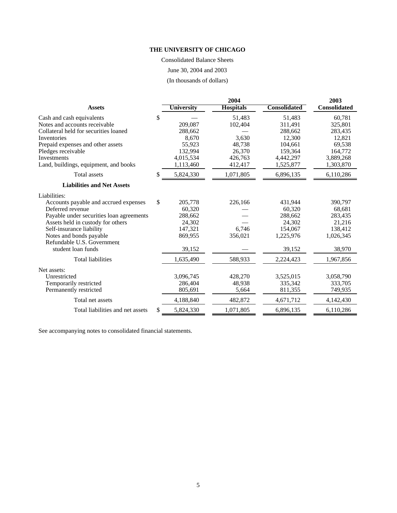Consolidated Balance Sheets June 30, 2004 and 2003

(In thousands of dollars)

|                                          |                 | 2004             |                     | 2003                |
|------------------------------------------|-----------------|------------------|---------------------|---------------------|
| <b>Assets</b>                            | University      | <b>Hospitals</b> | <b>Consolidated</b> | <b>Consolidated</b> |
| Cash and cash equivalents                | \$              | 51,483           | 51,483              | 60,781              |
| Notes and accounts receivable            | 209,087         | 102,404          | 311,491             | 325,801             |
| Collateral held for securities loaned    | 288,662         |                  | 288,662             | 283,435             |
| Inventories                              | 8,670           | 3,630            | 12,300              | 12,821              |
| Prepaid expenses and other assets        | 55,923          | 48,738           | 104,661             | 69,538              |
| Pledges receivable                       | 132,994         | 26,370           | 159.364             | 164,772             |
| Investments                              | 4,015,534       | 426,763          | 4,442,297           | 3,889,268           |
| Land, buildings, equipment, and books    | 1,113,460       | 412,417          | 1,525,877           | 1,303,870           |
| <b>Total</b> assets                      | \$<br>5,824,330 | 1,071,805        | 6,896,135           | 6,110,286           |
| <b>Liabilities and Net Assets</b>        |                 |                  |                     |                     |
| Liabilities:                             |                 |                  |                     |                     |
| Accounts payable and accrued expenses    | \$<br>205,778   | 226,166          | 431,944             | 390,797             |
| Deferred revenue                         | 60,320          |                  | 60,320              | 68,681              |
| Payable under securities loan agreements | 288,662         |                  | 288,662             | 283,435             |
| Assets held in custody for others        | 24,302          |                  | 24,302              | 21,216              |
| Self-insurance liability                 | 147,321         | 6,746            | 154,067             | 138,412             |
| Notes and bonds payable                  | 869,955         | 356,021          | 1,225,976           | 1,026,345           |
| Refundable U.S. Government               |                 |                  |                     |                     |
| student loan funds                       | 39,152          |                  | 39,152              | 38,970              |
| <b>Total liabilities</b>                 | 1,635,490       | 588,933          | 2,224,423           | 1,967,856           |
| Net assets:                              |                 |                  |                     |                     |
| Unrestricted                             | 3,096,745       | 428,270          | 3,525,015           | 3,058,790           |
| Temporarily restricted                   | 286,404         | 48,938           | 335,342             | 333.705             |
| Permanently restricted                   | 805,691         | 5,664            | 811,355             | 749,935             |
| Total net assets                         | 4,188,840       | 482,872          | 4,671,712           | 4,142,430           |
| Total liabilities and net assets         | \$<br>5,824,330 | 1,071,805        | 6,896,135           | 6,110,286           |

See accompanying notes to consolidated financial statements.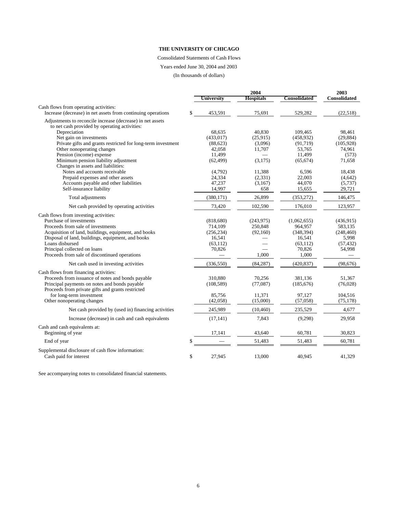Consolidated Statements of Cash Flows

Years ended June 30, 2004 and 2003

(In thousands of dollars)

|                                                                                                       | Universitv       | 2004<br><b>Hospitals</b> | Consolidated     | 2003<br><b>Consolidated</b> |
|-------------------------------------------------------------------------------------------------------|------------------|--------------------------|------------------|-----------------------------|
|                                                                                                       |                  |                          |                  |                             |
| Cash flows from operating activities:<br>Increase (decrease) in net assets from continuing operations | \$<br>453,591    | 75,691                   | 529,282          | (22,518)                    |
| Adjustments to reconcile increase (decrease) in net assets                                            |                  |                          |                  |                             |
| to net cash provided by operating activities:                                                         |                  |                          |                  |                             |
| Depreciation                                                                                          | 68,635           | 40,830                   | 109,465          | 98,461                      |
| Net gain on investments                                                                               | (433, 017)       | (25.915)                 | (458, 932)       | (29, 884)                   |
| Private gifts and grants restricted for long-term investment                                          | (88, 623)        | (3,096)                  | (91, 719)        | (105, 928)                  |
| Other nonoperating changes                                                                            | 42,058           | 11,707                   | 53,765           | 74,961                      |
| Pension (income) expense                                                                              | 11,499           |                          | 11,499           | (573)                       |
| Minimum pension liability adjustment                                                                  | (62, 499)        | (3,175)                  | (65, 674)        | 71,658                      |
| Changes in assets and liabilities:                                                                    |                  |                          |                  |                             |
| Notes and accounts receivable                                                                         | (4,792)          | 11,388                   | 6.596            | 18.438                      |
| Prepaid expenses and other assets                                                                     | 24,334<br>47,237 | (2, 331)                 | 22,003<br>44,070 | (4,642)                     |
| Accounts payable and other liabilities<br>Self-insurance liability                                    | 14,997           | (3,167)<br>658           | 15,655           | (5,737)<br>29,721           |
|                                                                                                       |                  |                          |                  |                             |
| Total adjustments                                                                                     | (380, 171)       | 26,899                   | (353, 272)       | 146,475                     |
| Net cash provided by operating activities                                                             | 73,420           | 102,590                  | 176,010          | 123,957                     |
| Cash flows from investing activities:                                                                 |                  |                          |                  |                             |
| Purchase of investments                                                                               | (818, 680)       | (243,975)                | (1,062,655)      | (436,915)                   |
| Proceeds from sale of investments                                                                     | 714,109          | 250,848                  | 964,957          | 583,135                     |
| Acquisition of land, buildings, equipment, and books                                                  | (256, 234)       | (92,160)                 | (348, 394)       | (248, 460)                  |
| Disposal of land, buildings, equipment, and books                                                     | 16,541           |                          | 16,541           | 5,998                       |
| Loans disbursed                                                                                       | (63, 112)        |                          | (63, 112)        | (57, 432)                   |
| Principal collected on loans                                                                          | 70,826           |                          | 70,826           | 54,998                      |
| Proceeds from sale of discontinued operations                                                         |                  | 1,000                    | 1,000            |                             |
| Net cash used in investing activities                                                                 | (336, 550)       | (84, 287)                | (420, 837)       | (98, 676)                   |
| Cash flows from financing activities:                                                                 |                  |                          |                  |                             |
| Proceeds from issuance of notes and bonds payable                                                     | 310,880          | 70,256                   | 381.136          | 51.367                      |
| Principal payments on notes and bonds payable                                                         | (108, 589)       | (77,087)                 | (185, 676)       | (76, 028)                   |
| Proceeds from private gifts and grants restricted                                                     |                  |                          |                  |                             |
| for long-term investment                                                                              | 85,756           | 11,371                   | 97,127           | 104,516                     |
| Other nonoperating changes                                                                            | (42,058)         | (15,000)                 | (57,058)         | (75, 178)                   |
| Net cash provided by (used in) financing activities                                                   | 245,989          | (10, 460)                | 235,529          | 4,677                       |
| Increase (decrease) in cash and cash equivalents                                                      | (17, 141)        | 7,843                    | (9,298)          | 29,958                      |
| Cash and cash equivalents at:                                                                         |                  |                          |                  |                             |
| Beginning of year                                                                                     | 17,141           | 43,640                   | 60,781           | 30,823                      |
| End of year                                                                                           | \$               | 51,483                   | 51,483           | 60,781                      |
| Supplemental disclosure of cash flow information:<br>Cash paid for interest                           | \$<br>27,945     | 13,000                   | 40.945           | 41,329                      |

See accompanying notes to consolidated financial statements.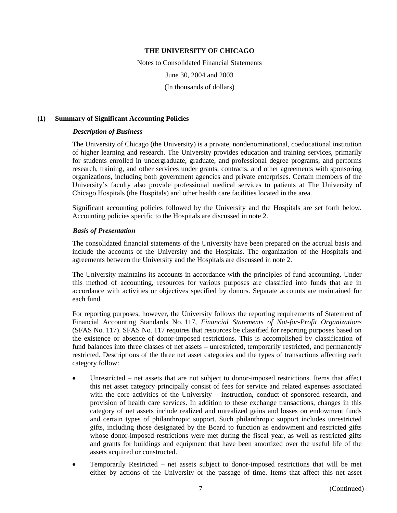Notes to Consolidated Financial Statements June 30, 2004 and 2003 (In thousands of dollars)

### **(1) Summary of Significant Accounting Policies**

## *Description of Business*

The University of Chicago (the University) is a private, nondenominational, coeducational institution of higher learning and research. The University provides education and training services, primarily for students enrolled in undergraduate, graduate, and professional degree programs, and performs research, training, and other services under grants, contracts, and other agreements with sponsoring organizations, including both government agencies and private enterprises. Certain members of the University's faculty also provide professional medical services to patients at The University of Chicago Hospitals (the Hospitals) and other health care facilities located in the area.

Significant accounting policies followed by the University and the Hospitals are set forth below. Accounting policies specific to the Hospitals are discussed in note 2.

## *Basis of Presentation*

The consolidated financial statements of the University have been prepared on the accrual basis and include the accounts of the University and the Hospitals. The organization of the Hospitals and agreements between the University and the Hospitals are discussed in note 2.

The University maintains its accounts in accordance with the principles of fund accounting. Under this method of accounting, resources for various purposes are classified into funds that are in accordance with activities or objectives specified by donors. Separate accounts are maintained for each fund.

For reporting purposes, however, the University follows the reporting requirements of Statement of Financial Accounting Standards No. 117, *Financial Statements of Not-for-Profit Organizations* (SFAS No. 117). SFAS No. 117 requires that resources be classified for reporting purposes based on the existence or absence of donor-imposed restrictions. This is accomplished by classification of fund balances into three classes of net assets – unrestricted, temporarily restricted, and permanently restricted. Descriptions of the three net asset categories and the types of transactions affecting each category follow:

- Unrestricted net assets that are not subject to donor-imposed restrictions. Items that affect this net asset category principally consist of fees for service and related expenses associated with the core activities of the University – instruction, conduct of sponsored research, and provision of health care services. In addition to these exchange transactions, changes in this category of net assets include realized and unrealized gains and losses on endowment funds and certain types of philanthropic support. Such philanthropic support includes unrestricted gifts, including those designated by the Board to function as endowment and restricted gifts whose donor-imposed restrictions were met during the fiscal year, as well as restricted gifts and grants for buildings and equipment that have been amortized over the useful life of the assets acquired or constructed.
- Temporarily Restricted net assets subject to donor-imposed restrictions that will be met either by actions of the University or the passage of time. Items that affect this net asset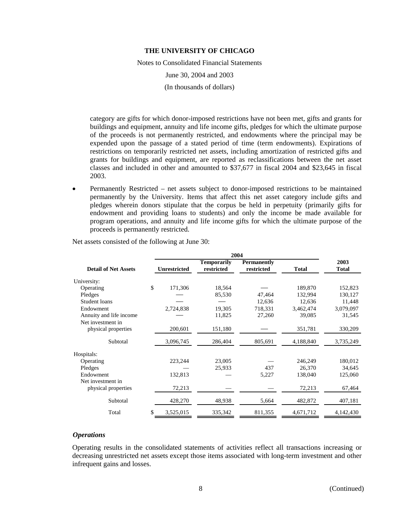Notes to Consolidated Financial Statements

June 30, 2004 and 2003

(In thousands of dollars)

category are gifts for which donor-imposed restrictions have not been met, gifts and grants for buildings and equipment, annuity and life income gifts, pledges for which the ultimate purpose of the proceeds is not permanently restricted, and endowments where the principal may be expended upon the passage of a stated period of time (term endowments). Expirations of restrictions on temporarily restricted net assets, including amortization of restricted gifts and grants for buildings and equipment, are reported as reclassifications between the net asset classes and included in other and amounted to \$37,677 in fiscal 2004 and \$23,645 in fiscal 2003.

• Permanently Restricted – net assets subject to donor-imposed restrictions to be maintained permanently by the University. Items that affect this net asset category include gifts and pledges wherein donors stipulate that the corpus be held in perpetuity (primarily gifts for endowment and providing loans to students) and only the income be made available for program operations, and annuity and life income gifts for which the ultimate purpose of the proceeds is permanently restricted.

|                             | 2004                |                                  |                                  |              |                      |  |  |  |  |  |  |
|-----------------------------|---------------------|----------------------------------|----------------------------------|--------------|----------------------|--|--|--|--|--|--|
| <b>Detail of Net Assets</b> | <b>Unrestricted</b> | <b>Temporarily</b><br>restricted | <b>Permanently</b><br>restricted | <b>Total</b> | 2003<br><b>Total</b> |  |  |  |  |  |  |
| University:                 |                     |                                  |                                  |              |                      |  |  |  |  |  |  |
| Operating                   | \$<br>171,306       | 18,564                           |                                  | 189,870      | 152,823              |  |  |  |  |  |  |
| Pledges                     |                     | 85,530                           | 47,464                           | 132,994      | 130,127              |  |  |  |  |  |  |
| Student loans               |                     |                                  | 12,636                           | 12,636       | 11,448               |  |  |  |  |  |  |
| Endowment                   | 2,724,838           | 19,305                           | 718,331                          | 3,462,474    | 3,079,097            |  |  |  |  |  |  |
| Annuity and life income     |                     | 11,825                           | 27,260                           | 39,085       | 31,545               |  |  |  |  |  |  |
| Net investment in           |                     |                                  |                                  |              |                      |  |  |  |  |  |  |
| physical properties         | 200,601             | 151,180                          |                                  | 351,781      | 330,209              |  |  |  |  |  |  |
| Subtotal                    | 3,096,745           | 286,404                          | 805,691                          | 4,188,840    | 3,735,249            |  |  |  |  |  |  |
| Hospitals:                  |                     |                                  |                                  |              |                      |  |  |  |  |  |  |
| Operating                   | 223,244             | 23,005                           |                                  | 246,249      | 180,012              |  |  |  |  |  |  |
| Pledges                     |                     | 25,933                           | 437                              | 26,370       | 34,645               |  |  |  |  |  |  |
| Endowment                   | 132,813             |                                  | 5,227                            | 138,040      | 125,060              |  |  |  |  |  |  |
| Net investment in           |                     |                                  |                                  |              |                      |  |  |  |  |  |  |
| physical properties         | 72,213              |                                  |                                  | 72,213       | 67,464               |  |  |  |  |  |  |
| Subtotal                    | 428,270             | 48,938                           | 5,664                            | 482,872      | 407,181              |  |  |  |  |  |  |
| Total                       | \$<br>3,525,015     | 335,342                          | 811,355                          | 4,671,712    | 4,142,430            |  |  |  |  |  |  |

Net assets consisted of the following at June 30:

#### *Operations*

Operating results in the consolidated statements of activities reflect all transactions increasing or decreasing unrestricted net assets except those items associated with long-term investment and other infrequent gains and losses.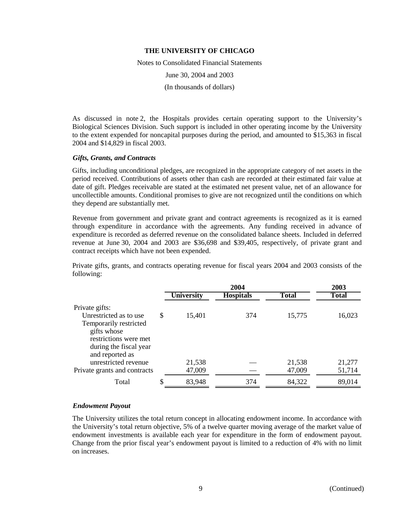Notes to Consolidated Financial Statements

June 30, 2004 and 2003

(In thousands of dollars)

As discussed in note 2, the Hospitals provides certain operating support to the University's Biological Sciences Division. Such support is included in other operating income by the University to the extent expended for noncapital purposes during the period, and amounted to \$15,363 in fiscal 2004 and \$14,829 in fiscal 2003.

#### *Gifts, Grants, and Contracts*

Gifts, including unconditional pledges, are recognized in the appropriate category of net assets in the period received. Contributions of assets other than cash are recorded at their estimated fair value at date of gift. Pledges receivable are stated at the estimated net present value, net of an allowance for uncollectible amounts. Conditional promises to give are not recognized until the conditions on which they depend are substantially met.

Revenue from government and private grant and contract agreements is recognized as it is earned through expenditure in accordance with the agreements. Any funding received in advance of expenditure is recorded as deferred revenue on the consolidated balance sheets. Included in deferred revenue at June 30, 2004 and 2003 are \$36,698 and \$39,405, respectively, of private grant and contract receipts which have not been expended.

Private gifts, grants, and contracts operating revenue for fiscal years 2004 and 2003 consists of the following:

|                              |                   | 2003             |              |              |
|------------------------------|-------------------|------------------|--------------|--------------|
|                              | <b>University</b> | <b>Hospitals</b> | <b>Total</b> | <b>Total</b> |
| Private gifts:               |                   |                  |              |              |
| Unrestricted as to use       | \$<br>15,401      | 374              | 15,775       | 16,023       |
| Temporarily restricted       |                   |                  |              |              |
| gifts whose                  |                   |                  |              |              |
| restrictions were met        |                   |                  |              |              |
| during the fiscal year       |                   |                  |              |              |
| and reported as              |                   |                  |              |              |
| unrestricted revenue         | 21,538            |                  | 21,538       | 21,277       |
| Private grants and contracts | 47,009            |                  | 47,009       | 51,714       |
| Total                        | \$<br>83,948      | 374              | 84,322       | 89,014       |

## *Endowment Payout*

The University utilizes the total return concept in allocating endowment income. In accordance with the University's total return objective, 5% of a twelve quarter moving average of the market value of endowment investments is available each year for expenditure in the form of endowment payout. Change from the prior fiscal year's endowment payout is limited to a reduction of 4% with no limit on increases.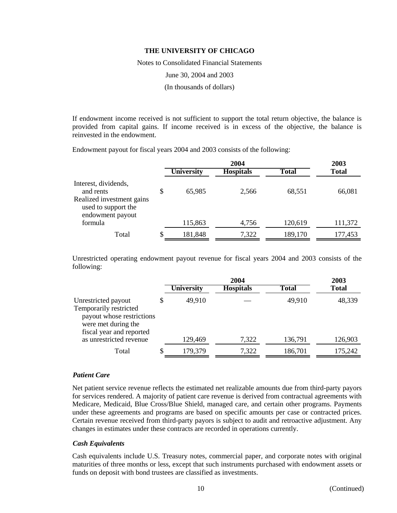Notes to Consolidated Financial Statements

June 30, 2004 and 2003

(In thousands of dollars)

If endowment income received is not sufficient to support the total return objective, the balance is provided from capital gains. If income received is in excess of the objective, the balance is reinvested in the endowment.

Endowment payout for fiscal years 2004 and 2003 consists of the following:

|                   | 2003             |              |              |
|-------------------|------------------|--------------|--------------|
| <b>University</b> | <b>Hospitals</b> | <b>Total</b> | <b>Total</b> |
| \$<br>65,985      | 2.566            | 68,551       | 66,081       |
| 115,863           | 4,756            | 120,619      | 111,372      |
| \$<br>181,848     | 7,322            | 189,170      | 177,453      |
|                   |                  | 2004         |              |

Unrestricted operating endowment payout revenue for fiscal years 2004 and 2003 consists of the following:

|                                                                                                                               |    |                   | 2003             |              |              |  |
|-------------------------------------------------------------------------------------------------------------------------------|----|-------------------|------------------|--------------|--------------|--|
|                                                                                                                               |    | <b>University</b> | <b>Hospitals</b> | <b>Total</b> | <b>Total</b> |  |
| Unrestricted payout<br>Temporarily restricted<br>payout whose restrictions<br>were met during the<br>fiscal year and reported | S  | 49,910            |                  | 49,910       | 48,339       |  |
| as unrestricted revenue                                                                                                       |    | 129,469           | 7,322            | 136,791      | 126,903      |  |
| Total                                                                                                                         | \$ | 179,379           | 7,322            | 186,701      | 175,242      |  |

#### *Patient Care*

Net patient service revenue reflects the estimated net realizable amounts due from third-party payors for services rendered. A majority of patient care revenue is derived from contractual agreements with Medicare, Medicaid, Blue Cross/Blue Shield, managed care, and certain other programs. Payments under these agreements and programs are based on specific amounts per case or contracted prices. Certain revenue received from third-party payors is subject to audit and retroactive adjustment. Any changes in estimates under these contracts are recorded in operations currently.

#### *Cash Equivalents*

Cash equivalents include U.S. Treasury notes, commercial paper, and corporate notes with original maturities of three months or less, except that such instruments purchased with endowment assets or funds on deposit with bond trustees are classified as investments.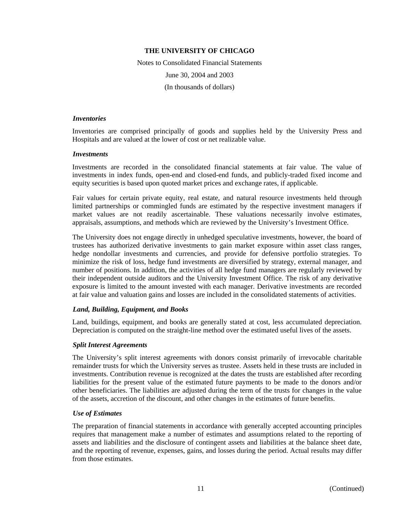Notes to Consolidated Financial Statements June 30, 2004 and 2003 (In thousands of dollars)

#### *Inventories*

Inventories are comprised principally of goods and supplies held by the University Press and Hospitals and are valued at the lower of cost or net realizable value.

#### *Investments*

Investments are recorded in the consolidated financial statements at fair value. The value of investments in index funds, open-end and closed-end funds, and publicly-traded fixed income and equity securities is based upon quoted market prices and exchange rates, if applicable.

Fair values for certain private equity, real estate, and natural resource investments held through limited partnerships or commingled funds are estimated by the respective investment managers if market values are not readily ascertainable. These valuations necessarily involve estimates, appraisals, assumptions, and methods which are reviewed by the University's Investment Office.

The University does not engage directly in unhedged speculative investments, however, the board of trustees has authorized derivative investments to gain market exposure within asset class ranges, hedge nondollar investments and currencies, and provide for defensive portfolio strategies. To minimize the risk of loss, hedge fund investments are diversified by strategy, external manager, and number of positions. In addition, the activities of all hedge fund managers are regularly reviewed by their independent outside auditors and the University Investment Office. The risk of any derivative exposure is limited to the amount invested with each manager. Derivative investments are recorded at fair value and valuation gains and losses are included in the consolidated statements of activities.

#### *Land, Building, Equipment, and Books*

Land, buildings, equipment, and books are generally stated at cost, less accumulated depreciation. Depreciation is computed on the straight-line method over the estimated useful lives of the assets.

#### *Split Interest Agreements*

The University's split interest agreements with donors consist primarily of irrevocable charitable remainder trusts for which the University serves as trustee. Assets held in these trusts are included in investments. Contribution revenue is recognized at the dates the trusts are established after recording liabilities for the present value of the estimated future payments to be made to the donors and/or other beneficiaries. The liabilities are adjusted during the term of the trusts for changes in the value of the assets, accretion of the discount, and other changes in the estimates of future benefits.

#### *Use of Estimates*

The preparation of financial statements in accordance with generally accepted accounting principles requires that management make a number of estimates and assumptions related to the reporting of assets and liabilities and the disclosure of contingent assets and liabilities at the balance sheet date, and the reporting of revenue, expenses, gains, and losses during the period. Actual results may differ from those estimates.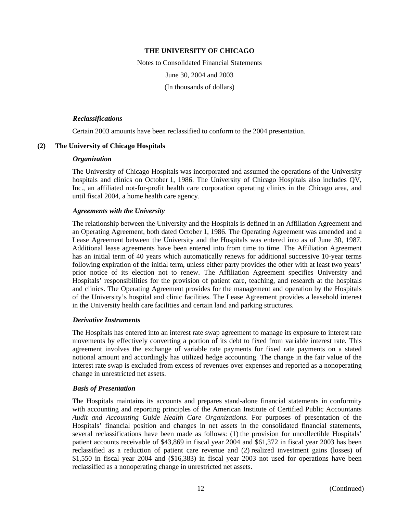Notes to Consolidated Financial Statements June 30, 2004 and 2003 (In thousands of dollars)

## *Reclassifications*

Certain 2003 amounts have been reclassified to conform to the 2004 presentation.

## **(2) The University of Chicago Hospitals**

## *Organization*

The University of Chicago Hospitals was incorporated and assumed the operations of the University hospitals and clinics on October 1, 1986. The University of Chicago Hospitals also includes QV, Inc., an affiliated not-for-profit health care corporation operating clinics in the Chicago area, and until fiscal 2004, a home health care agency.

## *Agreements with the University*

The relationship between the University and the Hospitals is defined in an Affiliation Agreement and an Operating Agreement, both dated October 1, 1986. The Operating Agreement was amended and a Lease Agreement between the University and the Hospitals was entered into as of June 30, 1987. Additional lease agreements have been entered into from time to time. The Affiliation Agreement has an initial term of 40 years which automatically renews for additional successive 10-year terms following expiration of the initial term, unless either party provides the other with at least two years' prior notice of its election not to renew. The Affiliation Agreement specifies University and Hospitals' responsibilities for the provision of patient care, teaching, and research at the hospitals and clinics. The Operating Agreement provides for the management and operation by the Hospitals of the University's hospital and clinic facilities. The Lease Agreement provides a leasehold interest in the University health care facilities and certain land and parking structures.

#### *Derivative Instruments*

The Hospitals has entered into an interest rate swap agreement to manage its exposure to interest rate movements by effectively converting a portion of its debt to fixed from variable interest rate. This agreement involves the exchange of variable rate payments for fixed rate payments on a stated notional amount and accordingly has utilized hedge accounting. The change in the fair value of the interest rate swap is excluded from excess of revenues over expenses and reported as a nonoperating change in unrestricted net assets.

#### *Basis of Presentation*

The Hospitals maintains its accounts and prepares stand-alone financial statements in conformity with accounting and reporting principles of the American Institute of Certified Public Accountants *Audit and Accounting Guide Health Care Organizations*. For purposes of presentation of the Hospitals' financial position and changes in net assets in the consolidated financial statements, several reclassifications have been made as follows: (1) the provision for uncollectible Hospitals' patient accounts receivable of \$43,869 in fiscal year 2004 and \$61,372 in fiscal year 2003 has been reclassified as a reduction of patient care revenue and (2) realized investment gains (losses) of \$1,550 in fiscal year 2004 and (\$16,383) in fiscal year 2003 not used for operations have been reclassified as a nonoperating change in unrestricted net assets.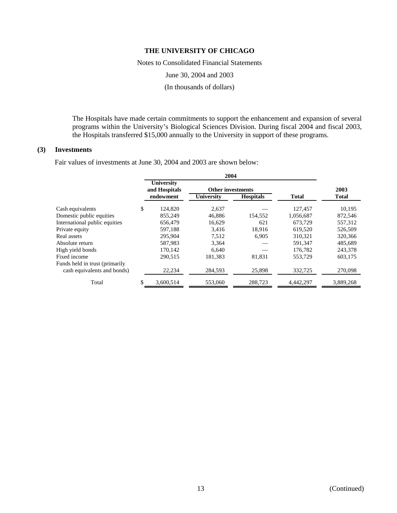Notes to Consolidated Financial Statements

June 30, 2004 and 2003

(In thousands of dollars)

The Hospitals have made certain commitments to support the enhancement and expansion of several programs within the University's Biological Sciences Division. During fiscal 2004 and fiscal 2003, the Hospitals transferred \$15,000 annually to the University in support of these programs.

#### **(3) Investments**

Fair values of investments at June 30, 2004 and 2003 are shown below:

|                                |    | University<br>and Hospitals<br>endowment | <b>Other investments</b><br>University | <b>Hospitals</b> | <b>Total</b> | 2003<br><b>Total</b> |  |
|--------------------------------|----|------------------------------------------|----------------------------------------|------------------|--------------|----------------------|--|
| Cash equivalents               | \$ | 124,820                                  | 2,637                                  |                  | 127,457      | 10,195               |  |
| Domestic public equities       |    | 855,249                                  | 46.886                                 | 154,552          | 1.056.687    | 872,546              |  |
| International public equities  |    | 656,479                                  | 16.629                                 | 621              | 673.729      | 557,312              |  |
| Private equity                 |    | 597,188                                  | 3.416                                  | 18.916           | 619.520      | 526,509              |  |
| Real assets                    |    | 295.904                                  | 7.512                                  | 6,905            | 310.321      | 320,366              |  |
| Absolute return                |    | 587,983                                  | 3,364                                  |                  | 591,347      | 485,689              |  |
| High yield bonds               |    | 170,142                                  | 6.640                                  |                  | 176,782      | 243,378              |  |
| Fixed income                   |    | 290.515                                  | 181.383                                | 81,831           | 553,729      | 603.175              |  |
| Funds held in trust (primarily |    |                                          |                                        |                  |              |                      |  |
| cash equivalents and bonds)    |    | 22,234                                   | 284,593                                | 25,898           | 332,725      | 270,098              |  |
| Total                          |    | 3,600,514                                | 553,060                                | 288,723          | 4,442,297    | 3,889,268            |  |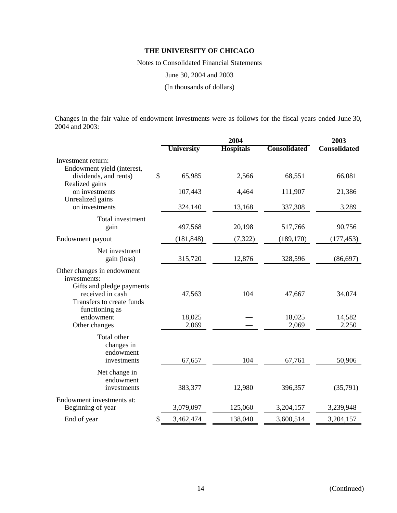Notes to Consolidated Financial Statements

June 30, 2004 and 2003

(In thousands of dollars)

Changes in the fair value of endowment investments were as follows for the fiscal years ended June 30, 2004 and 2003:

|                                                                                                                          |                   | 2004             |                     |                     |  |  |
|--------------------------------------------------------------------------------------------------------------------------|-------------------|------------------|---------------------|---------------------|--|--|
|                                                                                                                          | <b>University</b> | <b>Hospitals</b> | <b>Consolidated</b> | <b>Consolidated</b> |  |  |
| Investment return:                                                                                                       |                   |                  |                     |                     |  |  |
| Endowment yield (interest,<br>dividends, and rents)<br>Realized gains                                                    | \$<br>65,985      | 2,566            | 68,551              | 66,081              |  |  |
| on investments<br>Unrealized gains                                                                                       | 107,443           | 4,464            | 111,907             | 21,386              |  |  |
| on investments                                                                                                           | 324,140           | 13,168           | 337,308             | 3,289               |  |  |
| Total investment<br>gain                                                                                                 | 497,568           | 20,198           | 517,766             | 90,756              |  |  |
| Endowment payout                                                                                                         | (181, 848)        | (7, 322)         | (189, 170)          | (177, 453)          |  |  |
| Net investment<br>gain (loss)                                                                                            | 315,720           | 12,876           | 328,596             | (86, 697)           |  |  |
| Other changes in endowment<br>investments:<br>Gifts and pledge payments<br>received in cash<br>Transfers to create funds | 47,563            | 104              | 47,667              | 34,074              |  |  |
| functioning as<br>endowment<br>Other changes                                                                             | 18,025<br>2,069   |                  | 18,025<br>2,069     | 14,582<br>2,250     |  |  |
| Total other<br>changes in<br>endowment<br>investments                                                                    | 67,657            | 104              | 67,761              | 50,906              |  |  |
| Net change in<br>endowment<br>investments                                                                                | 383,377           | 12,980           | 396,357             | (35,791)            |  |  |
| Endowment investments at:<br>Beginning of year                                                                           | 3,079,097         | 125,060          | 3,204,157           | 3,239,948           |  |  |
| End of year                                                                                                              | \$<br>3,462,474   | 138,040          | 3,600,514           | 3,204,157           |  |  |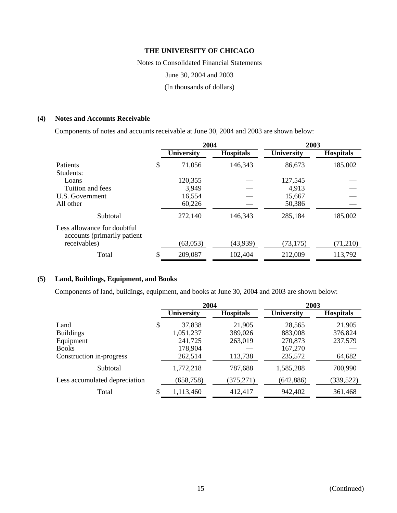Notes to Consolidated Financial Statements

June 30, 2004 and 2003

(In thousands of dollars)

## **(4) Notes and Accounts Receivable**

Components of notes and accounts receivable at June 30, 2004 and 2003 are shown below:

|                                                             | 2004              |                  | 2003              |                  |  |
|-------------------------------------------------------------|-------------------|------------------|-------------------|------------------|--|
|                                                             | <b>University</b> | <b>Hospitals</b> | <b>University</b> | <b>Hospitals</b> |  |
| <b>Patients</b>                                             | \$<br>71,056      | 146,343          | 86,673            | 185,002          |  |
| Students:                                                   |                   |                  |                   |                  |  |
| Loans                                                       | 120,355           |                  | 127,545           |                  |  |
| Tuition and fees                                            | 3,949             |                  | 4,913             |                  |  |
| U.S. Government                                             | 16,554            |                  | 15,667            |                  |  |
| All other                                                   | 60,226            |                  | 50,386            |                  |  |
| Subtotal                                                    | 272,140           | 146,343          | 285,184           | 185,002          |  |
| Less allowance for doubtful<br>accounts (primarily patient) |                   |                  |                   |                  |  |
| receivables)                                                | (63, 053)         | (43,939)         | (73, 175)         | (71,210)         |  |
| Total                                                       | 209,087           | 102,404          | 212,009           | 113,792          |  |

## **(5) Land, Buildings, Equipment, and Books**

Components of land, buildings, equipment, and books at June 30, 2004 and 2003 are shown below:

|                               | 2004              |                  | 2003              |                  |  |
|-------------------------------|-------------------|------------------|-------------------|------------------|--|
|                               | <b>University</b> | <b>Hospitals</b> | <b>University</b> | <b>Hospitals</b> |  |
| Land                          | \$<br>37,838      | 21,905           | 28,565            | 21,905           |  |
| <b>Buildings</b>              | 1,051,237         | 389,026          | 883,008           | 376,824          |  |
| Equipment                     | 241,725           | 263,019          | 270,873           | 237,579          |  |
| <b>Books</b>                  | 178,904           |                  | 167,270           |                  |  |
| Construction in-progress      | 262,514           | 113,738          | 235,572           | 64,682           |  |
| Subtotal                      | 1,772,218         | 787,688          | 1,585,288         | 700,990          |  |
| Less accumulated depreciation | (658, 758)        | (375, 271)       | (642, 886)        | (339, 522)       |  |
| Total                         | 1,113,460         | 412,417          | 942,402           | 361,468          |  |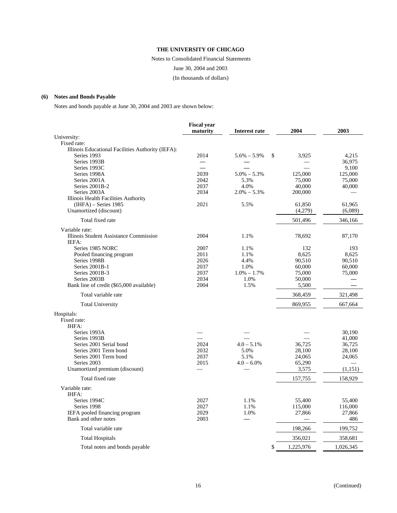Notes to Consolidated Financial Statements

June 30, 2004 and 2003

#### (In thousands of dollars)

## **(6) Notes and Bonds Payable**

Notes and bonds payable at June 30, 2004 and 2003 are shown below:

|                                                   | <b>Fiscal year</b>       |                       |           |           |
|---------------------------------------------------|--------------------------|-----------------------|-----------|-----------|
|                                                   | maturity                 | Interest rate         | 2004      | 2003      |
| University:                                       |                          |                       |           |           |
| Fixed rate:                                       |                          |                       |           |           |
| Illinois Educational Facilities Authority (IEFA): |                          |                       |           |           |
| Series 1993                                       | 2014                     | $5.6\% - 5.9\%$<br>\$ | 3,925     | 4,215     |
| Series 1993B                                      |                          |                       |           | 36,975    |
| Series 1993C                                      | $\overline{\phantom{a}}$ |                       |           | 9,100     |
| Series 1998A                                      | 2039                     | $5.0\% - 5.3\%$       | 125,000   | 125,000   |
| Series 2001A                                      | 2042                     | 5.3%                  | 75,000    | 75,000    |
| Series 2001B-2                                    | 2037                     | 4.0%                  | 40,000    | 40,000    |
| Series 2003A                                      | 2034                     | $2.0\% - 5.3\%$       | 200,000   |           |
| Illinois Health Facilities Authority              |                          |                       |           |           |
| $(HIFA)$ – Series 1985                            | 2021                     | 5.5%                  | 61,850    | 61,965    |
| Unamortized (discount)                            |                          |                       | (4,279)   | (6,089)   |
| Total fixed rate                                  |                          |                       | 501,496   | 346,166   |
| Variable rate:                                    |                          |                       |           |           |
| Illinois Student Assistance Commission            | 2004                     | 1.1%                  | 78,692    | 87,170    |
| IEFA:                                             |                          |                       |           |           |
| Series 1985 NORC                                  | 2007                     | 1.1%                  | 132       | 193       |
| Pooled financing program                          | 2011                     | 1.1%                  | 8,625     | 8,625     |
| Series 1998B                                      | 2026                     | 4.4%                  | 90,510    | 90,510    |
| Series 2001B-1                                    | 2037                     | 1.0%                  | 60,000    | 60,000    |
| Series 2001B-3                                    | 2037                     | $1.0\% - 1.7\%$       | 75,000    | 75,000    |
| Series 2003B                                      | 2034                     | 1.0%                  | 50,000    |           |
| Bank line of credit (\$65,000 available)          | 2004                     | 1.5%                  | 5,500     |           |
| Total variable rate                               |                          |                       | 368,459   | 321,498   |
| <b>Total University</b>                           |                          |                       | 869,955   | 667,664   |
| Hospitals:                                        |                          |                       |           |           |
| Fixed rate:                                       |                          |                       |           |           |
| <b>IHFA:</b>                                      |                          |                       |           |           |
| Series 1993A                                      |                          |                       |           | 30.190    |
| Series 1993B                                      |                          |                       |           | 41,000    |
| Series 2001 Serial bond                           | 2024                     | $4.0 - 5.1\%$         | 36,725    | 36,725    |
| Series 2001 Term bond                             | 2032                     | 5.0%                  | 28,100    | 28,100    |
| Series 2001 Term bond                             | 2037                     | 5.1%                  | 24,065    | 24,065    |
| Series 2003                                       | 2015                     | $4.0 - 6.0\%$         | 65,290    |           |
| Unamortized premium (discount)                    |                          |                       | 3,575     |           |
|                                                   |                          |                       |           | (1,151)   |
| Total fixed rate                                  |                          |                       | 157,755   | 158,929   |
| Variable rate:                                    |                          |                       |           |           |
| IHFA:                                             |                          |                       |           |           |
| Series 1994C                                      | 2027                     | 1.1%                  | 55,400    | 55,400    |
| Series 1998                                       | 2027                     | 1.1%                  | 115,000   | 116,000   |
| IEFA pooled financing program                     | 2029                     | 1.0%                  | 27,866    | 27,866    |
| Bank and other notes                              | 2003                     |                       |           | 486       |
| Total variable rate                               |                          |                       | 198,266   | 199,752   |
| <b>Total Hospitals</b>                            |                          |                       | 356,021   | 358,681   |
| Total notes and bonds payable                     |                          | \$                    | 1,225,976 | 1,026,345 |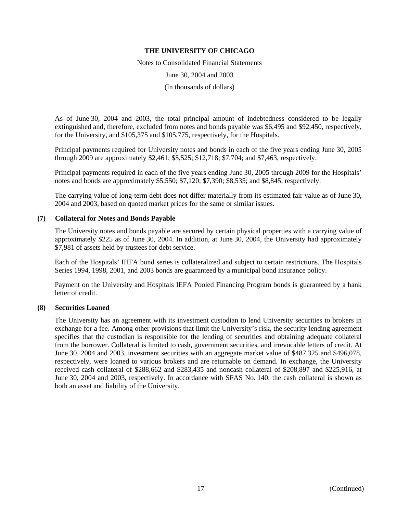Notes to Consolidated Financial Statements

June 30, 2004 and 2003

(In thousands of dollars)

As of June 30, 2004 and 2003, the total principal amount of indebtedness considered to be legally extinguished and, therefore, excluded from notes and bonds payable was \$6,495 and \$92,450, respectively, for the University, and \$105,375 and \$105,775, respectively, for the Hospitals.

Principal payments required for University notes and bonds in each of the five years ending June 30, 2005 through 2009 are approximately \$2,461; \$5,525; \$12,718; \$7,704; and \$7,463, respectively.

Principal payments required in each of the five years ending June 30, 2005 through 2009 for the Hospitals' notes and bonds are approximately \$5,550; \$7,120; \$7,390; \$8,535; and \$8,845, respectively.

The carrying value of long-term debt does not differ materially from its estimated fair value as of June 30, 2004 and 2003, based on quoted market prices for the same or similar issues.

#### **(7) Collateral for Notes and Bonds Payable**

The University notes and bonds payable are secured by certain physical properties with a carrying value of approximately \$225 as of June 30, 2004. In addition, at June 30, 2004, the University had approximately \$7,981 of assets held by trustees for debt service.

Each of the Hospitals' IHFA bond series is collateralized and subject to certain restrictions. The Hospitals Series 1994, 1998, 2001, and 2003 bonds are guaranteed by a municipal bond insurance policy.

Payment on the University and Hospitals IEFA Pooled Financing Program bonds is guaranteed by a bank letter of credit.

## **(8) Securities Loaned**

The University has an agreement with its investment custodian to lend University securities to brokers in exchange for a fee. Among other provisions that limit the University's risk, the security lending agreement specifies that the custodian is responsible for the lending of securities and obtaining adequate collateral from the borrower. Collateral is limited to cash, government securities, and irrevocable letters of credit. At June 30, 2004 and 2003, investment securities with an aggregate market value of \$487,325 and \$496,078, respectively, were loaned to various brokers and are returnable on demand. In exchange, the University received cash collateral of \$288,662 and \$283,435 and noncash collateral of \$208,897 and \$225,916, at June 30, 2004 and 2003, respectively. In accordance with SFAS No. 140, the cash collateral is shown as both an asset and liability of the University.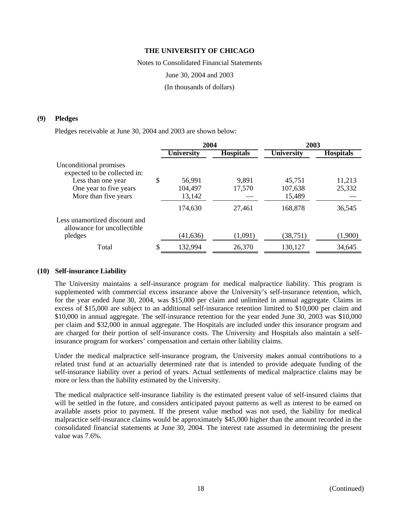Notes to Consolidated Financial Statements June 30, 2004 and 2003

(In thousands of dollars)

#### **(9) Pledges**

Pledges receivable at June 30, 2004 and 2003 are shown below:

|                                                              |   | 2004       |                  | 2003              |                  |
|--------------------------------------------------------------|---|------------|------------------|-------------------|------------------|
|                                                              |   | University | <b>Hospitals</b> | <b>University</b> | <b>Hospitals</b> |
| Unconditional promises<br>expected to be collected in:       |   |            |                  |                   |                  |
| Less than one year                                           | S | 56,991     | 9,891            | 45,751            | 11,213           |
| One year to five years                                       |   | 104,497    | 17,570           | 107,638           | 25,332           |
| More than five years                                         |   | 13,142     |                  | 15,489            |                  |
|                                                              |   | 174,630    | 27,461           | 168,878           | 36,545           |
| Less unamortized discount and<br>allowance for uncollectible |   |            |                  |                   |                  |
| pledges                                                      |   | (41, 636)  | (1,091)          | (38, 751)         | (1,900)          |
| Total                                                        |   | 132,994    | 26,370           | 130,127           | 34,645           |

#### **(10) Self-insurance Liability**

The University maintains a self-insurance program for medical malpractice liability. This program is supplemented with commercial excess insurance above the University's self-insurance retention, which, for the year ended June 30, 2004, was \$15,000 per claim and unlimited in annual aggregate. Claims in excess of \$15,000 are subject to an additional self-insurance retention limited to \$10,000 per claim and \$10,000 in annual aggregate. The self-insurance retention for the year ended June 30, 2003 was \$10,000 per claim and \$32,000 in annual aggregate. The Hospitals are included under this insurance program and are charged for their portion of self-insurance costs. The University and Hospitals also maintain a selfinsurance program for workers' compensation and certain other liability claims.

Under the medical malpractice self-insurance program, the University makes annual contributions to a related trust fund at an actuarially determined rate that is intended to provide adequate funding of the self-insurance liability over a period of years. Actual settlements of medical malpractice claims may be more or less than the liability estimated by the University.

The medical malpractice self-insurance liability is the estimated present value of self-insured claims that will be settled in the future, and considers anticipated payout patterns as well as interest to be earned on available assets prior to payment. If the present value method was not used, the liability for medical malpractice self-insurance claims would be approximately \$45,000 higher than the amount recorded in the consolidated financial statements at June 30, 2004. The interest rate assumed in determining the present value was 7.6%.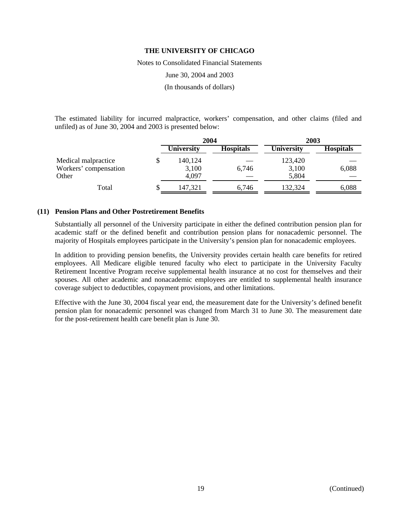Notes to Consolidated Financial Statements

June 30, 2004 and 2003

(In thousands of dollars)

The estimated liability for incurred malpractice, workers' compensation, and other claims (filed and unfiled) as of June 30, 2004 and 2003 is presented below:

|                       | 2004              |                  | 2003              |                  |
|-----------------------|-------------------|------------------|-------------------|------------------|
|                       | <b>University</b> | <b>Hospitals</b> | <b>University</b> | <b>Hospitals</b> |
| Medical malpractice   | 140,124           |                  | 123,420           |                  |
| Workers' compensation | 3,100             | 6.746            | 3,100             | 6,088            |
| Other                 | 4,097             |                  | 5,804             |                  |
| Total                 | 147,321           | 6.746            | 132,324           | 6,088            |

## **(11) Pension Plans and Other Postretirement Benefits**

Substantially all personnel of the University participate in either the defined contribution pension plan for academic staff or the defined benefit and contribution pension plans for nonacademic personnel. The majority of Hospitals employees participate in the University's pension plan for nonacademic employees.

In addition to providing pension benefits, the University provides certain health care benefits for retired employees. All Medicare eligible tenured faculty who elect to participate in the University Faculty Retirement Incentive Program receive supplemental health insurance at no cost for themselves and their spouses. All other academic and nonacademic employees are entitled to supplemental health insurance coverage subject to deductibles, copayment provisions, and other limitations.

Effective with the June 30, 2004 fiscal year end, the measurement date for the University's defined benefit pension plan for nonacademic personnel was changed from March 31 to June 30. The measurement date for the post-retirement health care benefit plan is June 30.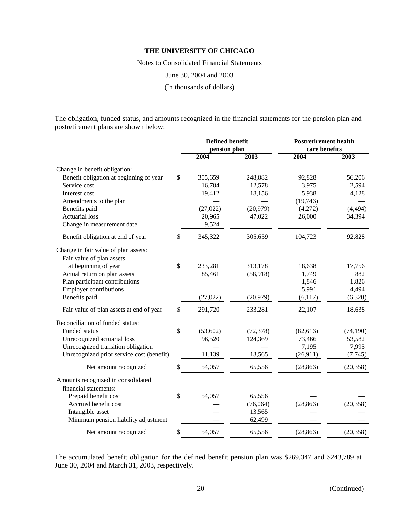Notes to Consolidated Financial Statements

June 30, 2004 and 2003

(In thousands of dollars)

The obligation, funded status, and amounts recognized in the financial statements for the pension plan and postretirement plans are shown below:

|                                           | <b>Defined benefit</b> |           | <b>Postretirement health</b> |           |  |
|-------------------------------------------|------------------------|-----------|------------------------------|-----------|--|
|                                           | pension plan           |           | care benefits                |           |  |
|                                           | 2004                   | 2003      | 2004                         | 2003      |  |
| Change in benefit obligation:             |                        |           |                              |           |  |
| Benefit obligation at beginning of year   | \$<br>305,659          | 248,882   | 92,828                       | 56,206    |  |
| Service cost                              | 16,784                 | 12,578    | 3,975                        | 2,594     |  |
| Interest cost                             | 19,412                 | 18,156    | 5,938                        | 4,128     |  |
| Amendments to the plan                    |                        |           | (19,746)                     |           |  |
| Benefits paid                             | (27, 022)              | (20, 979) | (4,272)                      | (4, 494)  |  |
| <b>Actuarial</b> loss                     | 20,965                 | 47,022    | 26,000                       | 34,394    |  |
| Change in measurement date                | 9,524                  |           |                              |           |  |
| Benefit obligation at end of year         | \$<br>345,322          | 305,659   | 104,723                      | 92,828    |  |
| Change in fair value of plan assets:      |                        |           |                              |           |  |
| Fair value of plan assets                 |                        |           |                              |           |  |
| at beginning of year                      | \$<br>233,281          | 313,178   | 18,638                       | 17,756    |  |
| Actual return on plan assets              | 85,461                 | (58,918)  | 1,749                        | 882       |  |
| Plan participant contributions            |                        |           | 1,846                        | 1,826     |  |
| <b>Employer contributions</b>             |                        |           | 5,991                        | 4,494     |  |
| Benefits paid                             | (27, 022)              | (20,979)  | (6,117)                      | (6,320)   |  |
| Fair value of plan assets at end of year  | \$<br>291,720          | 233,281   | 22,107                       | 18,638    |  |
| Reconciliation of funded status:          |                        |           |                              |           |  |
| Funded status                             | \$<br>(53, 602)        | (72, 378) | (82, 616)                    | (74, 190) |  |
| Unrecognized actuarial loss               | 96,520                 | 124,369   | 73,466                       | 53,582    |  |
| Unrecognized transition obligation        |                        |           | 7,195                        | 7,995     |  |
| Unrecognized prior service cost (benefit) | 11,139                 | 13,565    | (26,911)                     | (7, 745)  |  |
| Net amount recognized                     | \$<br>54,057           | 65,556    | (28, 866)                    | (20, 358) |  |
| Amounts recognized in consolidated        |                        |           |                              |           |  |
| financial statements:                     |                        |           |                              |           |  |
| Prepaid benefit cost                      | \$<br>54,057           | 65,556    |                              |           |  |
| Accrued benefit cost                      |                        | (76,064)  | (28, 866)                    | (20, 358) |  |
| Intangible asset                          |                        | 13,565    |                              |           |  |
| Minimum pension liability adjustment      |                        | 62,499    |                              |           |  |
| Net amount recognized                     | \$<br>54,057           | 65,556    | (28, 866)                    | (20, 358) |  |

The accumulated benefit obligation for the defined benefit pension plan was \$269,347 and \$243,789 at June 30, 2004 and March 31, 2003, respectively.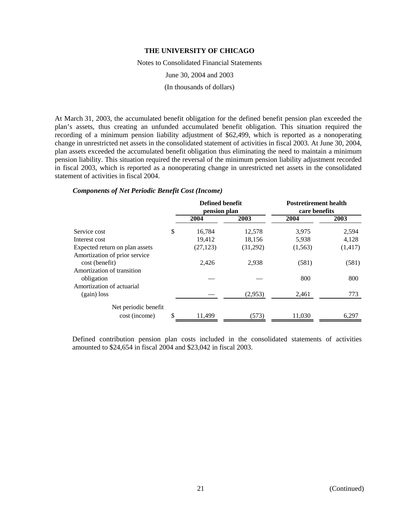Notes to Consolidated Financial Statements

June 30, 2004 and 2003

(In thousands of dollars)

At March 31, 2003, the accumulated benefit obligation for the defined benefit pension plan exceeded the plan's assets, thus creating an unfunded accumulated benefit obligation. This situation required the recording of a minimum pension liability adjustment of \$62,499, which is reported as a nonoperating change in unrestricted net assets in the consolidated statement of activities in fiscal 2003. At June 30, 2004, plan assets exceeded the accumulated benefit obligation thus eliminating the need to maintain a minimum pension liability. This situation required the reversal of the minimum pension liability adjustment recorded in fiscal 2003, which is reported as a nonoperating change in unrestricted net assets in the consolidated statement of activities in fiscal 2004.

|                                                 | <b>Defined benefit</b><br>pension plan |          | <b>Postretirement health</b><br>care benefits |          |
|-------------------------------------------------|----------------------------------------|----------|-----------------------------------------------|----------|
|                                                 | 2004                                   | 2003     | 2004                                          | 2003     |
| Service cost                                    | \$<br>16,784                           | 12,578   | 3,975                                         | 2,594    |
| Interest cost                                   | 19,412                                 | 18,156   | 5,938                                         | 4,128    |
| Expected return on plan assets                  | (27, 123)                              | (31,292) | (1,563)                                       | (1, 417) |
| Amortization of prior service<br>cost (benefit) | 2,426                                  | 2.938    | (581)                                         | (581)    |
| Amortization of transition<br>obligation        |                                        |          | 800                                           | 800      |
| Amortization of actuarial<br>$(gain)$ loss      |                                        | (2,953)  | 2,461                                         | 773      |
| Net periodic benefit<br>cost (income)           | \$<br>11.499                           | (573)    | 11,030                                        | 6.297    |

#### *Components of Net Periodic Benefit Cost (Income)*

Defined contribution pension plan costs included in the consolidated statements of activities amounted to \$24,654 in fiscal 2004 and \$23,042 in fiscal 2003.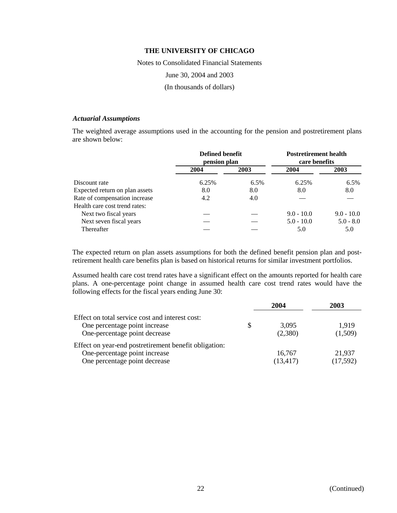Notes to Consolidated Financial Statements

June 30, 2004 and 2003

(In thousands of dollars)

#### *Actuarial Assumptions*

The weighted average assumptions used in the accounting for the pension and postretirement plans are shown below:

|                                | Defined benefit<br>pension plan |      | <b>Postretirement health</b><br>care benefits |              |
|--------------------------------|---------------------------------|------|-----------------------------------------------|--------------|
|                                | 2004                            | 2003 | 2004                                          | 2003         |
| Discount rate                  | 6.25%                           | 6.5% | 6.25%                                         | 6.5%         |
| Expected return on plan assets | 8.0                             | 8.0  | 8.0                                           | 8.0          |
| Rate of compensation increase  | 4.2                             | 4.0  |                                               |              |
| Health care cost trend rates:  |                                 |      |                                               |              |
| Next two fiscal years          |                                 |      | $9.0 - 10.0$                                  | $9.0 - 10.0$ |
| Next seven fiscal years        |                                 |      | $5.0 - 10.0$                                  | $5.0 - 8.0$  |
| Thereafter                     |                                 |      | 5.0                                           | 5.0          |

The expected return on plan assets assumptions for both the defined benefit pension plan and postretirement health care benefits plan is based on historical returns for similar investment portfolios.

Assumed health care cost trend rates have a significant effect on the amounts reported for health care plans. A one-percentage point change in assumed health care cost trend rates would have the following effects for the fiscal years ending June 30:

|                                                                                                                         | 2004                | 2003               |
|-------------------------------------------------------------------------------------------------------------------------|---------------------|--------------------|
| Effect on total service cost and interest cost:<br>One percentage point increase<br>One-percentage point decrease       | 3.095<br>(2,380)    | 1,919<br>(1,509)   |
| Effect on year-end postretirement benefit obligation:<br>One-percentage point increase<br>One percentage point decrease | 16.767<br>(13, 417) | 21,937<br>(17,592) |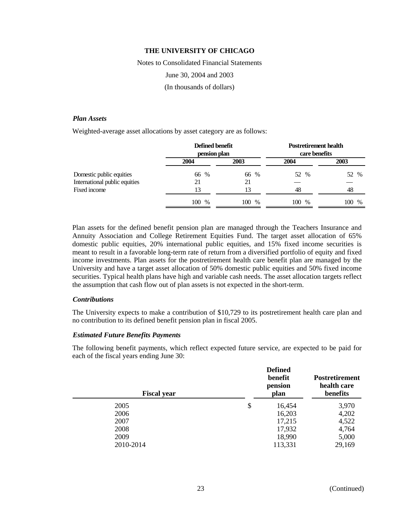Notes to Consolidated Financial Statements

June 30, 2004 and 2003

(In thousands of dollars)

#### *Plan Assets*

Weighted-average asset allocations by asset category are as follows:

|                               | Defined benefit<br>pension plan |          | <b>Postretirement health</b><br>care benefits |             |  |
|-------------------------------|---------------------------------|----------|-----------------------------------------------|-------------|--|
|                               | 2004                            | 2003     | 2004                                          | 2003        |  |
| Domestic public equities      | 66 %                            | 66 %     | 52 %                                          | 52<br>$\%$  |  |
| International public equities | 21                              | 21       |                                               |             |  |
| Fixed income                  | 13                              | 13       | 48                                            | 48          |  |
|                               | 100<br>$\%$                     | 100<br>% | 100 %                                         | 100<br>$\%$ |  |

Plan assets for the defined benefit pension plan are managed through the Teachers Insurance and Annuity Association and College Retirement Equities Fund. The target asset allocation of 65% domestic public equities, 20% international public equities, and 15% fixed income securities is meant to result in a favorable long-term rate of return from a diversified portfolio of equity and fixed income investments. Plan assets for the postretirement health care benefit plan are managed by the University and have a target asset allocation of 50% domestic public equities and 50% fixed income securities. Typical health plans have high and variable cash needs. The asset allocation targets reflect the assumption that cash flow out of plan assets is not expected in the short-term.

#### *Contributions*

The University expects to make a contribution of \$10,729 to its postretirement health care plan and no contribution to its defined benefit pension plan in fiscal 2005.

#### *Estimated Future Benefits Payments*

The following benefit payments, which reflect expected future service, are expected to be paid for each of the fiscal years ending June 30:

| <b>Fiscal year</b> | <b>Defined</b><br>benefit<br>pension<br>plan | <b>Postretirement</b><br>health care<br>benefits |
|--------------------|----------------------------------------------|--------------------------------------------------|
| 2005               | \$<br>16,454                                 | 3,970                                            |
| 2006               | 16,203                                       | 4,202                                            |
| 2007               | 17,215                                       | 4,522                                            |
| 2008               | 17,932                                       | 4,764                                            |
| 2009               | 18,990                                       | 5,000                                            |
| 2010-2014          | 113,331                                      | 29,169                                           |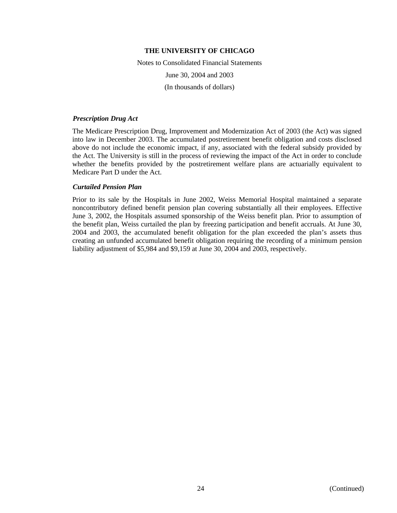Notes to Consolidated Financial Statements June 30, 2004 and 2003 (In thousands of dollars)

#### *Prescription Drug Act*

The Medicare Prescription Drug, Improvement and Modernization Act of 2003 (the Act) was signed into law in December 2003. The accumulated postretirement benefit obligation and costs disclosed above do not include the economic impact, if any, associated with the federal subsidy provided by the Act. The University is still in the process of reviewing the impact of the Act in order to conclude whether the benefits provided by the postretirement welfare plans are actuarially equivalent to Medicare Part D under the Act.

## *Curtailed Pension Plan*

Prior to its sale by the Hospitals in June 2002, Weiss Memorial Hospital maintained a separate noncontributory defined benefit pension plan covering substantially all their employees. Effective June 3, 2002, the Hospitals assumed sponsorship of the Weiss benefit plan. Prior to assumption of the benefit plan, Weiss curtailed the plan by freezing participation and benefit accruals. At June 30, 2004 and 2003, the accumulated benefit obligation for the plan exceeded the plan's assets thus creating an unfunded accumulated benefit obligation requiring the recording of a minimum pension liability adjustment of \$5,984 and \$9,159 at June 30, 2004 and 2003, respectively.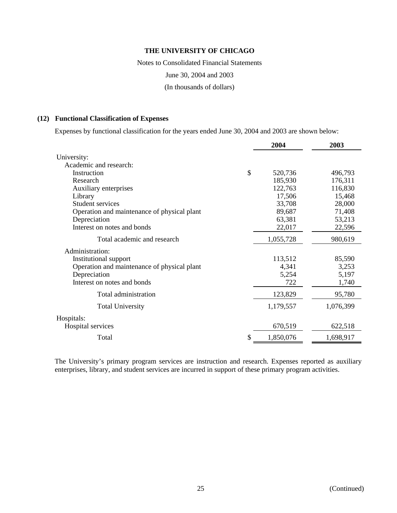Notes to Consolidated Financial Statements

June 30, 2004 and 2003

(In thousands of dollars)

## **(12) Functional Classification of Expenses**

Expenses by functional classification for the years ended June 30, 2004 and 2003 are shown below:

|                                             | 2004            | 2003      |
|---------------------------------------------|-----------------|-----------|
| University:                                 |                 |           |
| Academic and research:                      |                 |           |
| Instruction                                 | \$<br>520,736   | 496,793   |
| Research                                    | 185,930         | 176,311   |
| Auxiliary enterprises                       | 122,763         | 116,830   |
| Library                                     | 17,506          | 15,468    |
| Student services                            | 33,708          | 28,000    |
| Operation and maintenance of physical plant | 89,687          | 71,408    |
| Depreciation                                | 63,381          | 53,213    |
| Interest on notes and bonds                 | 22,017          | 22,596    |
| Total academic and research                 | 1,055,728       | 980,619   |
| Administration:                             |                 |           |
| Institutional support                       | 113,512         | 85,590    |
| Operation and maintenance of physical plant | 4,341           | 3,253     |
| Depreciation                                | 5,254           | 5,197     |
| Interest on notes and bonds                 | 722             | 1,740     |
| Total administration                        | 123,829         | 95,780    |
| <b>Total University</b>                     | 1,179,557       | 1,076,399 |
| Hospitals:                                  |                 |           |
| Hospital services                           | 670,519         | 622,518   |
| Total                                       | \$<br>1,850,076 | 1,698,917 |

The University's primary program services are instruction and research. Expenses reported as auxiliary enterprises, library, and student services are incurred in support of these primary program activities.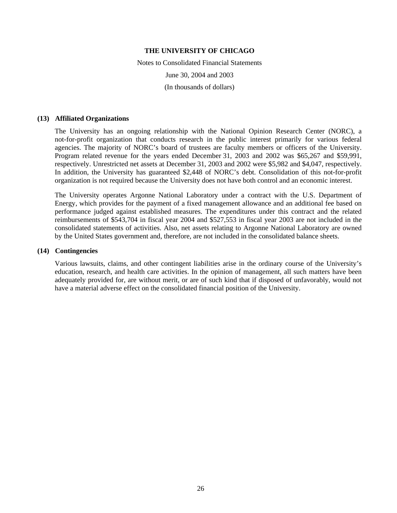Notes to Consolidated Financial Statements June 30, 2004 and 2003 (In thousands of dollars)

#### **(13) Affiliated Organizations**

The University has an ongoing relationship with the National Opinion Research Center (NORC), a not-for-profit organization that conducts research in the public interest primarily for various federal agencies. The majority of NORC's board of trustees are faculty members or officers of the University. Program related revenue for the years ended December 31, 2003 and 2002 was \$65,267 and \$59,991, respectively. Unrestricted net assets at December 31, 2003 and 2002 were \$5,982 and \$4,047, respectively. In addition, the University has guaranteed \$2,448 of NORC's debt. Consolidation of this not-for-profit organization is not required because the University does not have both control and an economic interest.

The University operates Argonne National Laboratory under a contract with the U.S. Department of Energy, which provides for the payment of a fixed management allowance and an additional fee based on performance judged against established measures. The expenditures under this contract and the related reimbursements of \$543,704 in fiscal year 2004 and \$527,553 in fiscal year 2003 are not included in the consolidated statements of activities. Also, net assets relating to Argonne National Laboratory are owned by the United States government and, therefore, are not included in the consolidated balance sheets.

## **(14) Contingencies**

Various lawsuits, claims, and other contingent liabilities arise in the ordinary course of the University's education, research, and health care activities. In the opinion of management, all such matters have been adequately provided for, are without merit, or are of such kind that if disposed of unfavorably, would not have a material adverse effect on the consolidated financial position of the University.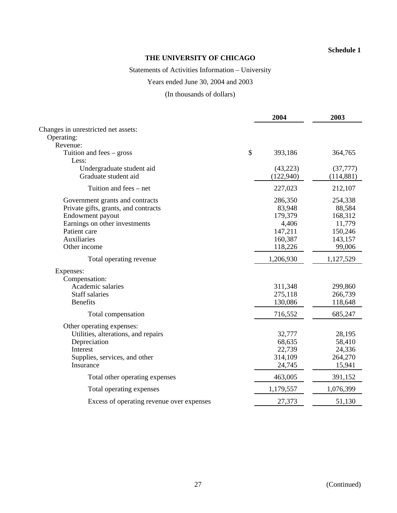## **Schedule 1**

# **THE UNIVERSITY OF CHICAGO**

# Statements of Activities Information – University

# Years ended June 30, 2004 and 2003

# (In thousands of dollars)

|                                           | 2004          | 2003       |
|-------------------------------------------|---------------|------------|
| Changes in unrestricted net assets:       |               |            |
| Operating:                                |               |            |
| Revenue:                                  |               |            |
| Tuition and fees – gross                  | \$<br>393,186 | 364,765    |
| Less:                                     |               |            |
| Undergraduate student aid                 | (43, 223)     | (37, 777)  |
| Graduate student aid                      | (122, 940)    | (114, 881) |
| Tuition and fees – net                    | 227,023       | 212,107    |
| Government grants and contracts           | 286,350       | 254,338    |
| Private gifts, grants, and contracts      | 83,948        | 88,584     |
| Endowment payout                          | 179,379       | 168,312    |
| Earnings on other investments             | 4,406         | 11,779     |
| Patient care                              | 147,211       | 150,246    |
| Auxiliaries                               | 160,387       | 143,157    |
| Other income                              | 118,226       | 99,006     |
| Total operating revenue                   | 1,206,930     | 1,127,529  |
| Expenses:                                 |               |            |
| Compensation:                             |               |            |
| Academic salaries                         | 311,348       | 299,860    |
| <b>Staff salaries</b>                     | 275,118       | 266,739    |
| <b>Benefits</b>                           | 130,086       | 118,648    |
| Total compensation                        | 716,552       | 685,247    |
| Other operating expenses:                 |               |            |
| Utilities, alterations, and repairs       | 32,777        | 28,195     |
| Depreciation                              | 68,635        | 58,410     |
| Interest                                  | 22,739        | 24,336     |
| Supplies, services, and other             | 314,109       | 264,270    |
| Insurance                                 | 24,745        | 15,941     |
| Total other operating expenses            | 463,005       | 391,152    |
| Total operating expenses                  | 1,179,557     | 1,076,399  |
| Excess of operating revenue over expenses | 27,373        | 51,130     |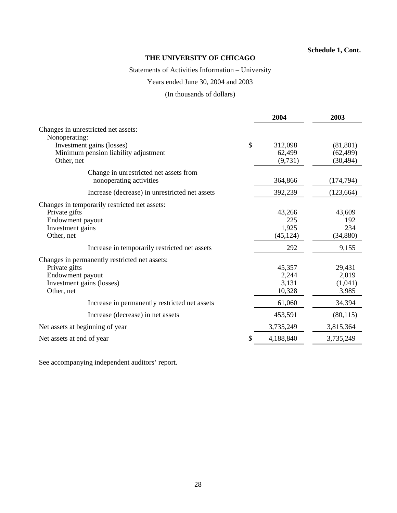## **Schedule 1, Cont.**

# **THE UNIVERSITY OF CHICAGO**

# Statements of Activities Information – University

# Years ended June 30, 2004 and 2003

# (In thousands of dollars)

|                                                                                                                               |               | 2004                                | 2003                                |
|-------------------------------------------------------------------------------------------------------------------------------|---------------|-------------------------------------|-------------------------------------|
| Changes in unrestricted net assets:<br>Nonoperating:                                                                          |               |                                     |                                     |
| Investment gains (losses)<br>Minimum pension liability adjustment<br>Other, net                                               | $\mathcal{S}$ | 312,098<br>62,499<br>(9,731)        | (81, 801)<br>(62, 499)<br>(30, 494) |
| Change in unrestricted net assets from<br>nonoperating activities                                                             |               | 364,866                             | (174, 794)                          |
| Increase (decrease) in unrestricted net assets                                                                                |               | 392,239                             | (123, 664)                          |
| Changes in temporarily restricted net assets:<br>Private gifts<br>Endowment payout<br>Investment gains<br>Other, net          |               | 43,266<br>225<br>1,925<br>(45, 124) | 43,609<br>192<br>234<br>(34, 880)   |
| Increase in temporarily restricted net assets                                                                                 |               | 292                                 | 9,155                               |
| Changes in permanently restricted net assets:<br>Private gifts<br>Endowment payout<br>Investment gains (losses)<br>Other, net |               | 45,357<br>2,244<br>3,131<br>10,328  | 29,431<br>2,019<br>(1,041)<br>3,985 |
| Increase in permanently restricted net assets                                                                                 |               | 61,060                              | 34,394                              |
| Increase (decrease) in net assets                                                                                             |               | 453,591                             | (80, 115)                           |
| Net assets at beginning of year                                                                                               |               | 3,735,249                           | 3,815,364                           |
| Net assets at end of year                                                                                                     | S             | 4,188,840                           | 3,735,249                           |

See accompanying independent auditors' report.